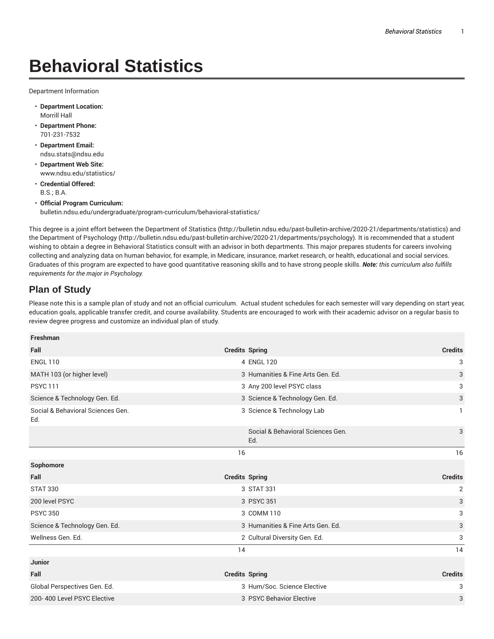## **Behavioral Statistics**

Department Information

- **Department Location:** Morrill Hall
- **Department Phone:** 701-231-7532
- **Department Email:** ndsu.stats@ndsu.edu
- **Department Web Site:** www.ndsu.edu/statistics/
- **Credential Offered:** B.S.; B.A.
- **Official Program Curriculum:** bulletin.ndsu.edu/undergraduate/program-curriculum/behavioral-statistics/

This degree is a joint effort between the Department of Statistics (http://bulletin.ndsu.edu/past-bulletin-archive/2020-21/departments/statistics) and the Department of Psychology (http://bulletin.ndsu.edu/past-bulletin-archive/2020-21/departments/psychology). It is recommended that a student wishing to obtain a degree in Behavioral Statistics consult with an advisor in both departments. This major prepares students for careers involving collecting and analyzing data on human behavior, for example, in Medicare, insurance, market research, or health, educational and social services. Graduates of this program are expected to have good quantitative reasoning skills and to have strong people skills. *Note: this curriculum also fulfills requirements for the major in Psychology.*

## **Plan of Study**

Please note this is a sample plan of study and not an official curriculum. Actual student schedules for each semester will vary depending on start year, education goals, applicable transfer credit, and course availability. Students are encouraged to work with their academic advisor on a regular basis to review degree progress and customize an individual plan of study.

| Freshman                                 |                                          |                |
|------------------------------------------|------------------------------------------|----------------|
| Fall                                     | <b>Credits Spring</b>                    | <b>Credits</b> |
| <b>ENGL 110</b>                          | 4 ENGL 120                               | 3              |
| MATH 103 (or higher level)               | 3 Humanities & Fine Arts Gen. Ed.        | 3              |
| <b>PSYC 111</b>                          | 3 Any 200 level PSYC class               | 3              |
| Science & Technology Gen. Ed.            | 3 Science & Technology Gen. Ed.          | 3              |
| Social & Behavioral Sciences Gen.<br>Ed. | 3 Science & Technology Lab               | 1              |
|                                          | Social & Behavioral Sciences Gen.<br>Ed. | 3              |
|                                          | 16                                       | 16             |
|                                          |                                          |                |
| Sophomore                                |                                          |                |
| Fall                                     | <b>Credits Spring</b>                    | <b>Credits</b> |
| <b>STAT 330</b>                          | 3 STAT 331                               | 2              |
| 200 level PSYC                           | 3 PSYC 351                               | 3              |
| <b>PSYC 350</b>                          | 3 COMM 110                               | 3              |
| Science & Technology Gen. Ed.            | 3 Humanities & Fine Arts Gen. Ed.        | 3              |
| Wellness Gen. Ed.                        | 2 Cultural Diversity Gen. Ed.            | 3              |
|                                          | 14                                       | 14             |
| <b>Junior</b>                            |                                          |                |
| Fall                                     | <b>Credits Spring</b>                    | <b>Credits</b> |
| Global Perspectives Gen. Ed.             | 3 Hum/Soc. Science Elective              | 3              |